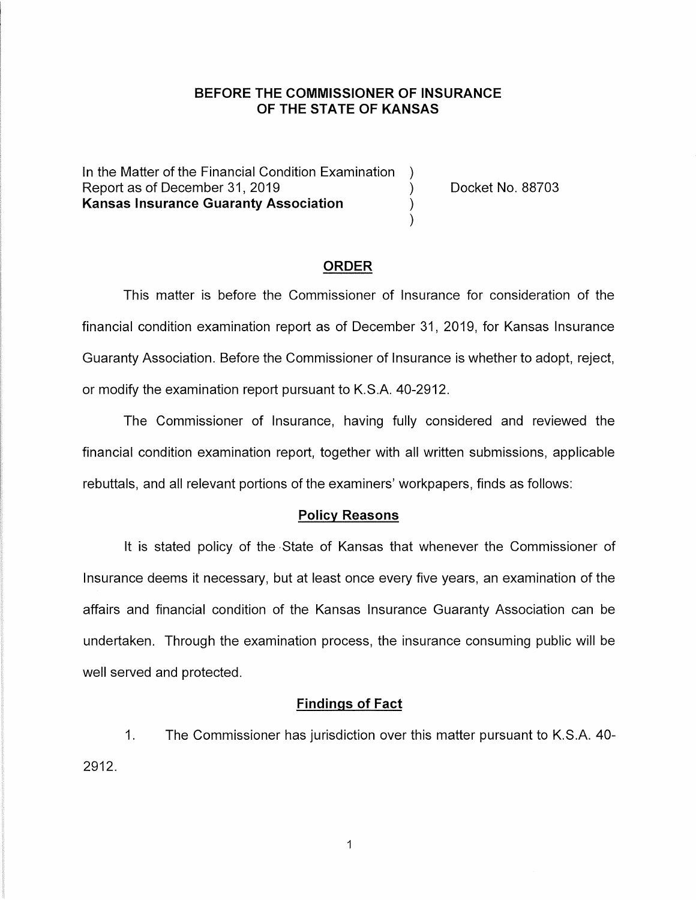# **BEFORE THE COMMISSIONER OF INSURANCE OF THE STATE OF KANSAS**

In the Matter of the Financial Condition Examination Report as of December 31, 2019 (and Separation Contract No. 88703) **Kansas Insurance Guaranty Association** )

#### **ORDER**

)

This matter is before the Commissioner of Insurance for consideration of the financial condition examination report as of December 31, 2019, for Kansas Insurance Guaranty Association. Before the Commissioner of Insurance is whether to adopt, reject, or modify the examination report pursuant to K.S.A. 40-2912.

The Commissioner of Insurance, having fully considered and reviewed the financial condition examination report, together with all written submissions, applicable rebuttals, and all relevant portions of the examiners' workpapers, finds as follows:

### **Policy Reasons**

It is stated policy of the •State of Kansas that whenever the Commissioner of Insurance deems it necessary, but at least once every five years, an examination of the affairs and financial condition of the Kansas Insurance Guaranty Association can be undertaken. Through the examination process, the insurance consuming public will be well served and protected.

## **Findings of Fact**

1. The Commissioner has jurisdiction over this matter pursuant to K.S.A. 40- 2912.

 $\mathbf{1}$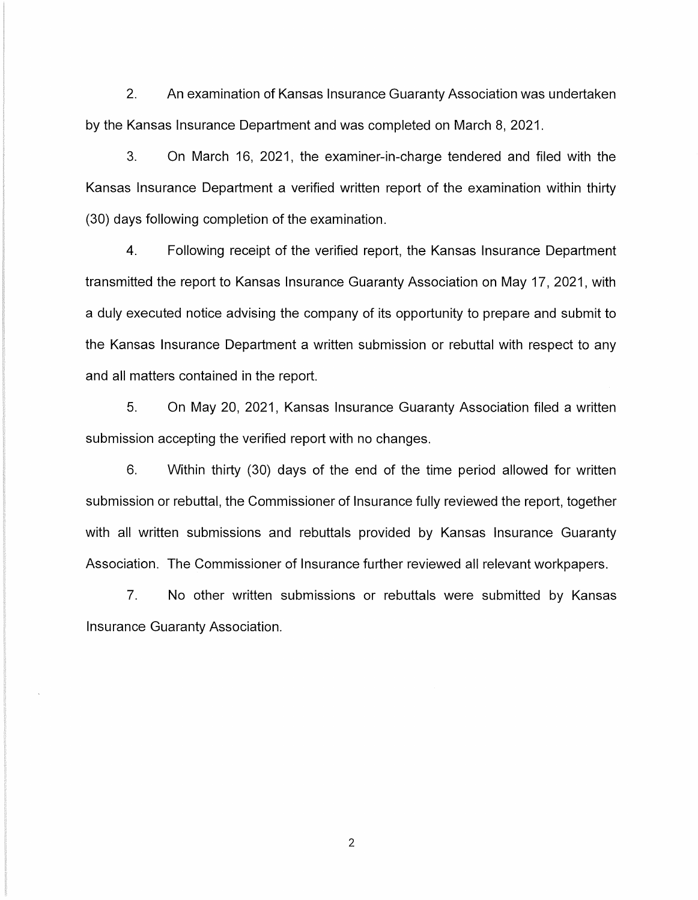2. An examination of Kansas Insurance Guaranty Association was undertaken by the Kansas Insurance Department and was completed on March 8, 2021.

3. On March 16, 2021, the examiner-in-charge tendered and filed with the Kansas Insurance Department a verified written report of the examination within thirty (30) days following completion of the examination.

4. Following receipt of the verified report, the Kansas Insurance Department transmitted the report to Kansas Insurance Guaranty Association on May 17, 2021, with a duly executed notice advising the company of its opportunity to prepare and submit to the Kansas Insurance Department a written submission or rebuttal with respect to any and all matters contained in the report.

5. On May 20, 2021, Kansas Insurance Guaranty Association filed a written submission accepting the verified report with no changes.

6. Within thirty (30) days of the end of the time period allowed for written submission or rebuttal, the Commissioner of Insurance fully reviewed the report, together with all written submissions and rebuttals provided by Kansas Insurance Guaranty Association. The Commissioner of Insurance further reviewed all relevant workpapers.

7. No other written submissions or rebuttals were submitted by Kansas Insurance Guaranty Association.

2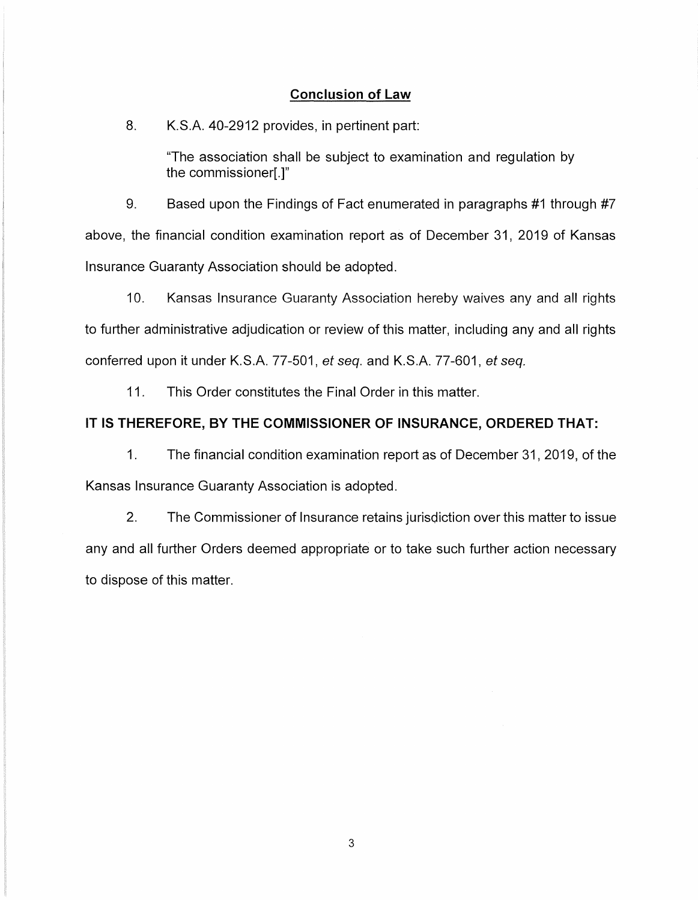### **Conclusion of Law**

#### 8. K.S.A. 40-2912 provides, in pertinent part:

"The association shall be subject to examination and regulation by the commissioner[.]"

9. Based upon the Findings of Fact enumerated in paragraphs #1 through #7 above, the financial condition examination report as of December 31, 2019 of Kansas Insurance Guaranty Association should be adopted.

10. Kansas Insurance Guaranty Association hereby waives any and all rights to further administrative adjudication or review of this matter, including any and all rights conferred upon it under K.S.A. 77-501, et seq. and K.S.A. 77-601, et seq.

11. This Order constitutes the Final Order in this matter.

### **IT IS THEREFORE, BY THE COMMISSIONER OF INSURANCE, ORDERED THAT:**

1. The financial condition examination report as of December 31, 2019, of the Kansas Insurance Guaranty Association is adopted.

2. The Commissioner of Insurance retains jurisdiction over this matter to issue any and all further Orders deemed appropriate or to take such further action necessary to dispose of this matter.

3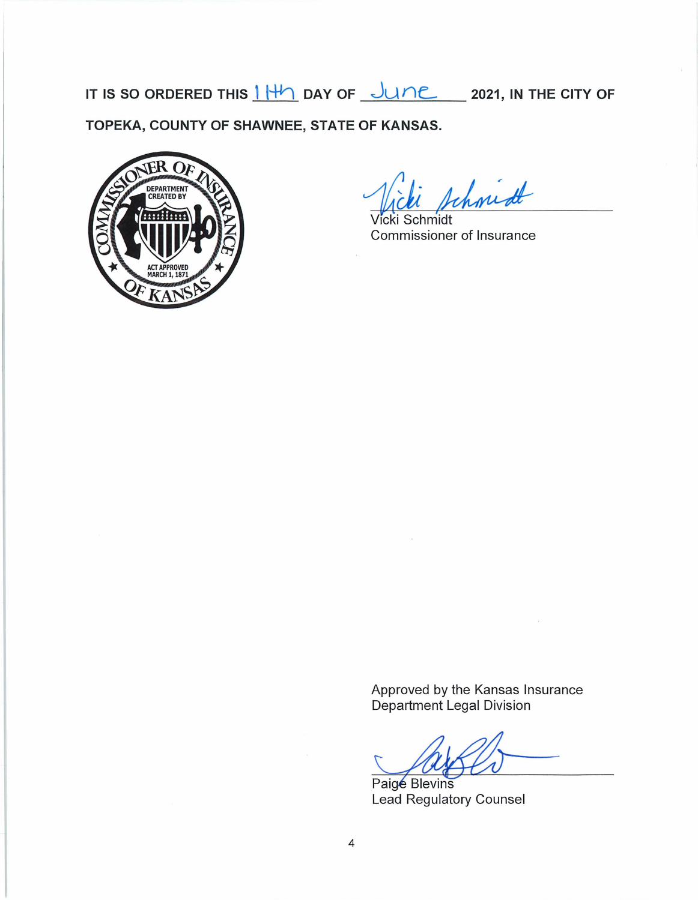IT IS SO ORDERED THIS  $1 + 1$  DAY OF  $\frac{1 + 1}{2}$  2021, IN THE CITY OF **TOPEKA, COUNTY OF SHAWNEE, STATE OF KANSAS.** 



tchmidt

Vicki Schmidt Commissioner of Insurance

Approved by the Kansas Insurance Department Legal Division

Paige Blevins Lead Regulatory Counsel